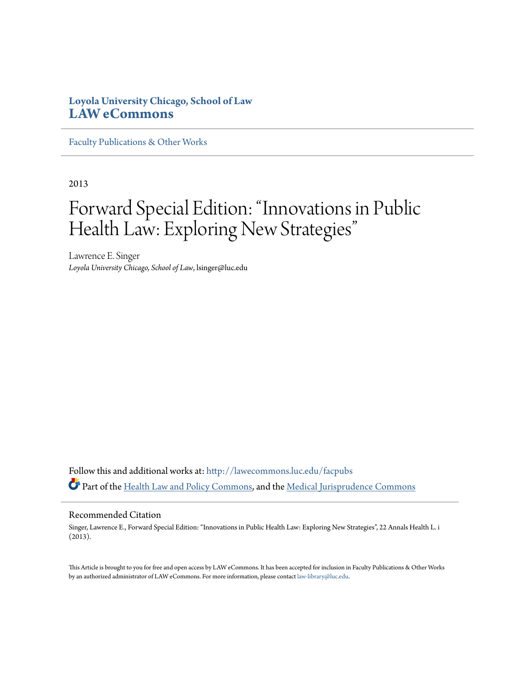# **Loyola University Chicago, School of Law [LAW eCommons](http://lawecommons.luc.edu?utm_source=lawecommons.luc.edu%2Ffacpubs%2F506&utm_medium=PDF&utm_campaign=PDFCoverPages)**

[Faculty Publications & Other Works](http://lawecommons.luc.edu/facpubs?utm_source=lawecommons.luc.edu%2Ffacpubs%2F506&utm_medium=PDF&utm_campaign=PDFCoverPages)

2013

# Forward Special Edition: "Innovations in Public Health Law: Exploring New Strategies"

Lawrence E. Singer *Loyola University Chicago, School of Law*, lsinger@luc.edu

Follow this and additional works at: [http://lawecommons.luc.edu/facpubs](http://lawecommons.luc.edu/facpubs?utm_source=lawecommons.luc.edu%2Ffacpubs%2F506&utm_medium=PDF&utm_campaign=PDFCoverPages) Part of the [Health Law and Policy Commons](http://network.bepress.com/hgg/discipline/901?utm_source=lawecommons.luc.edu%2Ffacpubs%2F506&utm_medium=PDF&utm_campaign=PDFCoverPages), and the [Medical Jurisprudence Commons](http://network.bepress.com/hgg/discipline/860?utm_source=lawecommons.luc.edu%2Ffacpubs%2F506&utm_medium=PDF&utm_campaign=PDFCoverPages)

## Recommended Citation

Singer, Lawrence E., Forward Special Edition: "Innovations in Public Health Law: Exploring New Strategies", 22 Annals Health L. i (2013).

This Article is brought to you for free and open access by LAW eCommons. It has been accepted for inclusion in Faculty Publications & Other Works by an authorized administrator of LAW eCommons. For more information, please contact [law-library@luc.edu](mailto:law-library@luc.edu).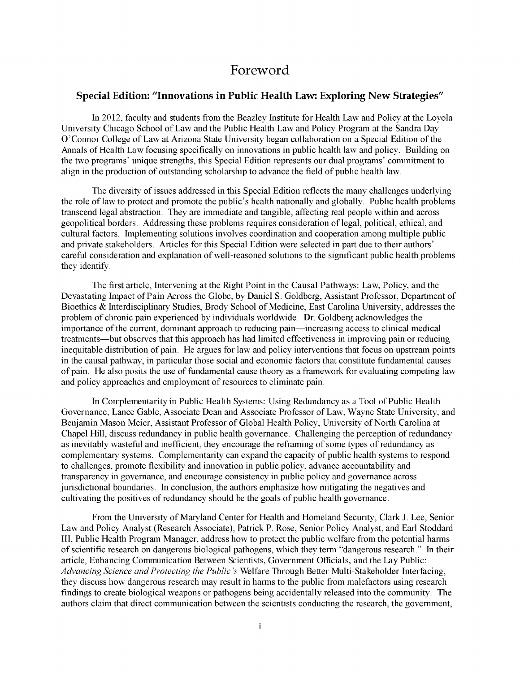# Foreword

# **Special Edition: "Innovations in Public Health Law: Exploring New Strategies"**

In 2012, faculty and students from the Beazley Institute for Health Law and Policy at the Loyola University Chicago School of Law and the Public Health Law and Policy Program at the Sandra Day O'Connor College of Law at Arizona State University began collaboration on a Special Edition of the Annals of Health Law focusing specifically on innovations in public health law and policy. Building on the two programs' unique strengths, this Special Edition represents our dual programs' commitment to align in the production of outstanding scholarship to advance the field of public health law.

The diversity of issues addressed in this Special Edition reflects the many challenges underlying the role of law to protect and promote the public's health nationally and globally. Public health problems transcend legal abstraction. They are immediate and tangible, affecting real people within and across geopolitical borders. Addressing these problems requires consideration of legal, political, ethical, and cultural factors. Implementing solutions involves coordination and cooperation among multiple public and private stakeholders. Articles for this Special Edition were selected in part due to their authors' careful consideration and explanation of well-reasoned solutions to the significant public health problems they identify.

The first article, Intervening at the Right Point in the Causal Pathways: Law, Policy, and the Devastating Impact of Pain Across the Globe, **by** Daniel **S.** Goldberg, Assistant Professor, Department of Bioethics **&** Interdisciplinary Studies, Brody School of Medicine, East Carolina University, addresses the problem of chronic pain experienced **by** individuals worldwide. Dr. Goldberg acknowledges the importance of the current, dominant approach to reducing pain-increasing access to clinical medical treatments-but observes that this approach has had limited effectiveness in improving pain or reducing inequitable distribution of pain. He argues for law and policy interventions that focus on upstream points in the causal pathway, in particular those social and economic factors that constitute fundamental causes of pain. He also posits the use of fundamental cause theory as a framework for evaluating competing law and policy approaches and employment of resources to eliminate pain.

In Complementarity in Public Health Systems: Using Redundancy as a Tool of Public Health Governance, Lance Gable, Associate Dean and Associate Professor of Law, Wayne State University, and Benjamin Mason Meier, Assistant Professor of Global Health Policy, University of North Carolina at Chapel Hill, discuss redundancy in public health governance. Challenging the perception of redundancy as inevitably wasteful and inefficient, they encourage the reframing of some types of redundancy as complementary systems. Complementarity can expand the capacity of public health systems to respond to challenges, promote flexibility and innovation in public policy, advance accountability and transparency in governance, and encourage consistency in public policy and governance across jurisdictional boundaries. In conclusion, the authors emphasize how mitigating the negatives and cultivating the positives of redundancy should be the goals of public health governance.

From the University of Maryland Center for Health and Homeland Security, Clark **J.** Lee, Senior Law and Policy Analyst (Research Associate), Patrick P. Rose, Senior Policy Analyst, and Earl Stoddard III, Public Health Program Manager, address how to protect the public welfare from the potential harms of scientific research on dangerous biological pathogens, which they term "dangerous research." In their article, Enhancing Communication Between Scientists, Government Officials, and the Lay Public: *Advancing Science and Protecting the Public's* Welfare Through Better Multi-Stakeholder Interfacing, they discuss how dangerous research may result in harms to the public from malefactors using research findings to create biological weapons or pathogens being accidentally released into the community. The authors claim that direct communication between the scientists conducting the research, the government,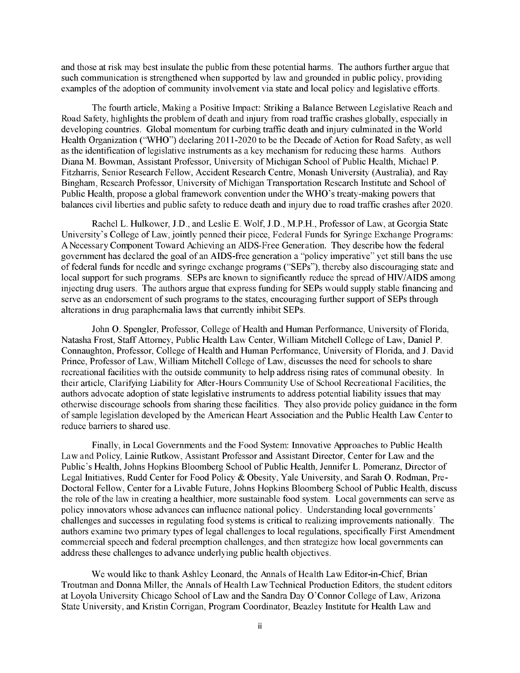and those at risk may best insulate the public from these potential harms. The authors further argue that such communication is strengthened when supported **by** law and grounded in public policy, providing examples of the adoption of community involvement via state and local policy and legislative efforts.

The fourth article, Making a Positive Impact: Striking a Balance Between Legislative Reach and Road Safety, highlights the problem of death and injury from road traffic crashes globally, especially in developing countries. Global momentum for curbing traffic death and injury culminated in the World Health Organization ("WHO") declaring 2011-2020 to be the Decade of Action for Road Safety, as well as the identification of legislative instruments as a key mechanism for reducing these harms. Authors Diana M. Bowman, Assistant Professor, University of Michigan School of Public Health, Michael P. Fitzharris, Senior Research Fellow, Accident Research Centre, Monash University (Australia), and Ray Bingham, Research Professor, University of Michigan Transportation Research Institute and School of Public Health, propose a global framework convention under the WHO's treaty-making powers that balances civil liberties and public safety to reduce death and injury due to road traffic crashes after 2020.

Rachel L. Hulkower, **J.D.,** and Leslie **E.** Wolf, **J.D.,** M.P.H., Professor of Law, at Georgia State University's College of Law, jointly penned their piece, Federal Funds for Syringe Exchange Programs: **A** Necessary Component Toward Achieving an AIDS-Free Generation. They describe how the federal government has declared the goal of an AIDS-free generation a "policy imperative" yet still bans the use of federal funds for needle and syringe exchange programs ("SEPs"), thereby also discouraging state and local support for such programs. SEPs are known to significantly reduce the spread of **HIV/AIDS** among injecting drug users. The authors argue that express funding for SEPs would supply stable financing and serve as an endorsement of such programs to the states, encouraging further support of SEPs through alterations in drug paraphernalia laws that currently inhibit SEPs.

John **0.** Spengler, Professor, College of Health and Human Performance, University of Florida, Natasha Frost, Staff Attorney, Public Health Law Center, William Mitchell College of Law, Daniel P. Connaughton, Professor, College of Health and Human Performance, University of Florida, and **J.** David Prince, Professor of Law, William Mitchell College of Law, discusses the need for schools to share recreational facilities with the outside community to help address rising rates of communal obesity. In their article, Clarifying Liability for After-Hours Community Use of School Recreational Facilities, the authors advocate adoption of state legislative instruments to address potential liability issues that may otherwise discourage schools from sharing these facilities. They also provide policy guidance in the form of sample legislation developed **by** the American Heart Association and the Public Health Law Center to reduce barriers to shared use.

Finally, in Local Governments and the Food System: Innovative Approaches to Public Health Law and Policy, Lainie Rutkow, Assistant Professor and Assistant Director, Center for Law and the Public's Health, Johns Hopkins Bloomberg School of Public Health, Jennifer L. Pomeranz, Director of Legal Initiatives, Rudd Center for Food Policy **&** Obesity, Yale University, and Sarah **0.** Rodman, Pre-Doctoral Fellow, Center for a Livable Future, Johns Hopkins Bloomberg School of Public Health, **discuss** the role of the law in creating a healthier, more sustainable food system. Local governments can serve as policy innovators whose advances can influence national policy. Understanding local governments' challenges and successes in regulating food systems is critical to realizing improvements nationally. The authors examine two primary types of legal challenges to local regulations, specifically First Amendment commercial speech and federal preemption challenges, and then strategize how local governments can address these challenges to advance underlying public health objectives.

We would like to thank Ashley Leonard, the Annals of Health Law Editor-in-Chief, Brian Troutman and Donna Miller, the Annals of Health Law Technical Production Editors, the student editors at Loyola University Chicago School of Law and the Sandra Day O'Connor College of Law, Arizona State University, and Kristin Corrigan, Program Coordinator, Beazley Institute for Health Law and